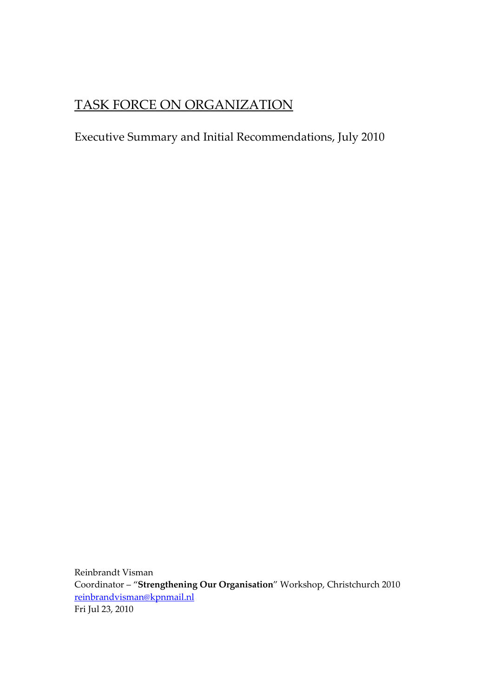# TASK FORCE ON ORGANIZATION

## Executive Summary and Initial Recommendations, July 2010

Reinbrandt Visman Coordinator – "**Strengthening Our Organisation**" Workshop, Christchurch 2010 [reinbrandvisman@kpnmail.nl](mailto:reinbrandvisman@kpnmail.nl) Fri Jul 23, 2010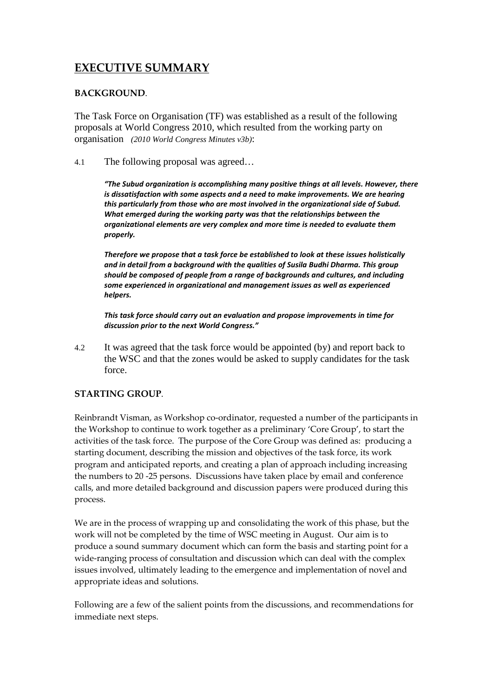### **EXECUTIVE SUMMARY**

#### **BACKGROUND**.

The Task Force on Organisation (TF) was established as a result of the following proposals at World Congress 2010, which resulted from the working party on organisation *(2010 World Congress Minutes v3b)*:

4.1 The following proposal was agreed…

*"The Subud organization is accomplishing many positive things at all levels. However, there is dissatisfaction with some aspects and a need to make improvements. We are hearing this particularly from those who are most involved in the organizational side of Subud. What emerged during the working party was that the relationships between the organizational elements are very complex and more time is needed to evaluate them properly.*

*Therefore we propose that a task force be established to look at these issues holistically and in detail from a background with the qualities of Susila Budhi Dharma. This group should be composed of people from a range of backgrounds and cultures, and including some experienced in organizational and management issues as well as experienced helpers.*

*This task force should carry out an evaluation and propose improvements in time for discussion prior to the next World Congress."*

4.2 It was agreed that the task force would be appointed (by) and report back to the WSC and that the zones would be asked to supply candidates for the task force.

#### **STARTING GROUP**.

Reinbrandt Visman, as Workshop co-ordinator, requested a number of the participants in the Workshop to continue to work together as a preliminary 'Core Group', to start the activities of the task force. The purpose of the Core Group was defined as: producing a starting document, describing the mission and objectives of the task force, its work program and anticipated reports, and creating a plan of approach including increasing the numbers to 20 -25 persons. Discussions have taken place by email and conference calls, and more detailed background and discussion papers were produced during this process.

We are in the process of wrapping up and consolidating the work of this phase, but the work will not be completed by the time of WSC meeting in August. Our aim is to produce a sound summary document which can form the basis and starting point for a wide-ranging process of consultation and discussion which can deal with the complex issues involved, ultimately leading to the emergence and implementation of novel and appropriate ideas and solutions.

Following are a few of the salient points from the discussions, and recommendations for immediate next steps.